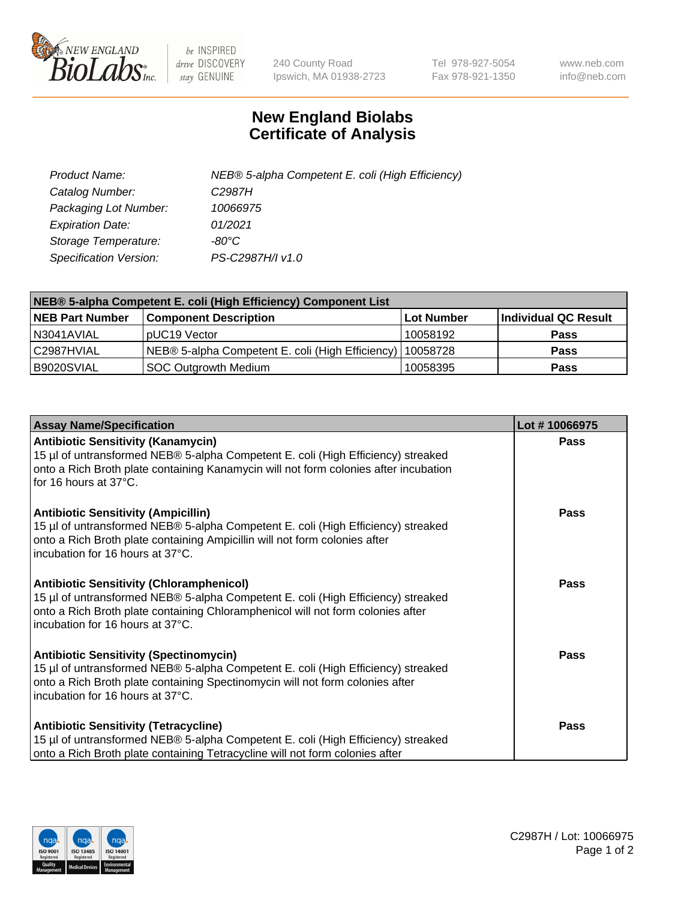

 $be$  INSPIRED drive DISCOVERY stay GENUINE

240 County Road Ipswich, MA 01938-2723 Tel 978-927-5054 Fax 978-921-1350 www.neb.com info@neb.com

## **New England Biolabs Certificate of Analysis**

| Product Name:           | NEB® 5-alpha Competent E. coli (High Efficiency) |
|-------------------------|--------------------------------------------------|
| Catalog Number:         | C <sub>2987</sub> H                              |
| Packaging Lot Number:   | 10066975                                         |
| <b>Expiration Date:</b> | 01/2021                                          |
| Storage Temperature:    | -80°C                                            |
| Specification Version:  | PS-C2987H/I v1.0                                 |

| NEB® 5-alpha Competent E. coli (High Efficiency) Component List |                                                  |            |                      |  |
|-----------------------------------------------------------------|--------------------------------------------------|------------|----------------------|--|
| <b>NEB Part Number</b>                                          | <b>Component Description</b>                     | Lot Number | Individual QC Result |  |
| N3041AVIAL                                                      | pUC19 Vector                                     | 10058192   | <b>Pass</b>          |  |
| C2987HVIAL                                                      | NEB® 5-alpha Competent E. coli (High Efficiency) | 10058728   | <b>Pass</b>          |  |
| B9020SVIAL                                                      | <b>SOC Outgrowth Medium</b>                      | 10058395   | <b>Pass</b>          |  |

| <b>Assay Name/Specification</b>                                                                                                                                                                                                                            | Lot #10066975 |
|------------------------------------------------------------------------------------------------------------------------------------------------------------------------------------------------------------------------------------------------------------|---------------|
| <b>Antibiotic Sensitivity (Kanamycin)</b><br>15 µl of untransformed NEB® 5-alpha Competent E. coli (High Efficiency) streaked<br>onto a Rich Broth plate containing Kanamycin will not form colonies after incubation<br>for 16 hours at 37°C.             | <b>Pass</b>   |
| <b>Antibiotic Sensitivity (Ampicillin)</b><br>15 µl of untransformed NEB® 5-alpha Competent E. coli (High Efficiency) streaked<br>onto a Rich Broth plate containing Ampicillin will not form colonies after<br>incubation for 16 hours at 37°C.           | Pass          |
| <b>Antibiotic Sensitivity (Chloramphenicol)</b><br>15 µl of untransformed NEB® 5-alpha Competent E. coli (High Efficiency) streaked<br>onto a Rich Broth plate containing Chloramphenicol will not form colonies after<br>incubation for 16 hours at 37°C. | Pass          |
| <b>Antibiotic Sensitivity (Spectinomycin)</b><br>15 µl of untransformed NEB® 5-alpha Competent E. coli (High Efficiency) streaked<br>onto a Rich Broth plate containing Spectinomycin will not form colonies after<br>incubation for 16 hours at 37°C.     | <b>Pass</b>   |
| <b>Antibiotic Sensitivity (Tetracycline)</b><br>15 µl of untransformed NEB® 5-alpha Competent E. coli (High Efficiency) streaked<br>onto a Rich Broth plate containing Tetracycline will not form colonies after                                           | Pass          |